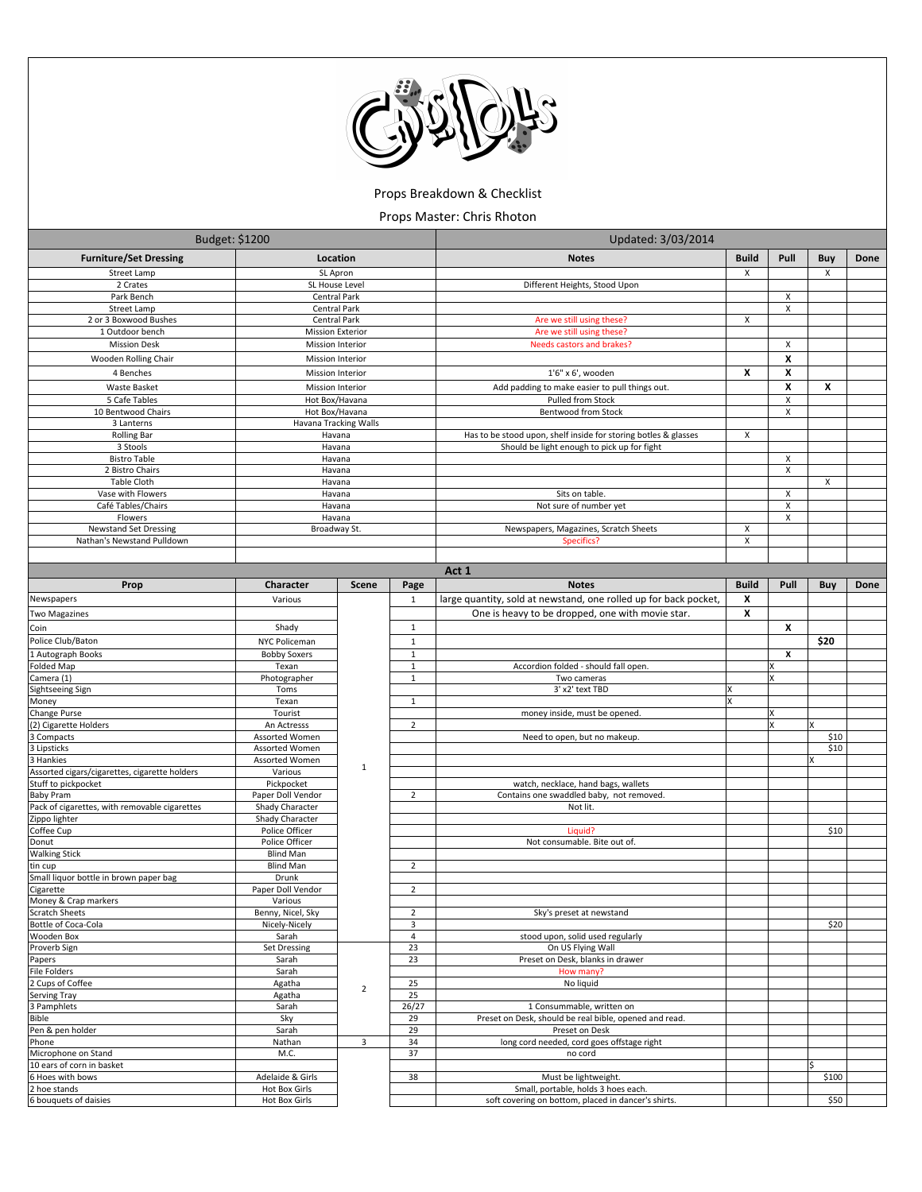

Props Breakdown & Checklist

Props Master: Chris Rhoton

| Budget: \$1200                                                       |                                             |                |                | Updated: 3/03/2014                                               |              |          |            |      |  |
|----------------------------------------------------------------------|---------------------------------------------|----------------|----------------|------------------------------------------------------------------|--------------|----------|------------|------|--|
| <b>Furniture/Set Dressing</b>                                        | Location                                    |                |                | <b>Notes</b>                                                     | <b>Build</b> | Pull     | <b>Buy</b> | Done |  |
| Street Lamp                                                          | SL Apron                                    |                |                |                                                                  | X            |          | X          |      |  |
| 2 Crates                                                             | SL House Level                              |                |                | Different Heights, Stood Upon                                    |              |          |            |      |  |
| Park Bench                                                           | Central Park                                |                |                |                                                                  |              | X        |            |      |  |
| Street Lamp                                                          | Central Park                                |                |                |                                                                  |              | Χ        |            |      |  |
| 2 or 3 Boxwood Bushes<br>1 Outdoor bench                             | Central Park                                |                |                | Are we still using these?<br>Are we still using these?           | X            |          |            |      |  |
| <b>Mission Desk</b>                                                  | <b>Mission Exterior</b><br>Mission Interior |                |                | Needs castors and brakes?                                        |              | X        |            |      |  |
| Wooden Rolling Chair                                                 | <b>Mission Interior</b>                     |                |                |                                                                  |              | X        |            |      |  |
| 4 Benches                                                            | <b>Mission Interior</b>                     |                |                | 1'6" x 6', wooden                                                | X            | X        |            |      |  |
| Waste Basket                                                         | <b>Mission Interior</b>                     |                |                | Add padding to make easier to pull things out.                   |              | X        | X          |      |  |
| 5 Cafe Tables                                                        | Hot Box/Havana                              |                |                | Pulled from Stock                                                |              | X        |            |      |  |
| 10 Bentwood Chairs                                                   | Hot Box/Havana                              |                |                | Bentwood from Stock                                              |              | X        |            |      |  |
| 3 Lanterns                                                           | Havana Tracking Walls                       |                |                |                                                                  |              |          |            |      |  |
| <b>Rolling Bar</b>                                                   | Havana                                      |                |                | Has to be stood upon, shelf inside for storing botles & glasses  | X            |          |            |      |  |
| 3 Stools<br><b>Bistro Table</b>                                      | Havana<br>Havana                            |                |                | Should be light enough to pick up for fight                      |              | Х        |            |      |  |
| 2 Bistro Chairs                                                      | Havana                                      |                |                |                                                                  |              | Χ        |            |      |  |
| Table Cloth                                                          | Havana                                      |                |                |                                                                  |              |          | X          |      |  |
| Vase with Flowers                                                    | Havana                                      |                |                | Sits on table.                                                   |              | X        |            |      |  |
| Café Tables/Chairs                                                   | Havana                                      |                |                | Not sure of number yet                                           |              | X        |            |      |  |
| Flowers                                                              | Havana                                      |                |                |                                                                  |              | X        |            |      |  |
| <b>Newstand Set Dressing</b><br>Nathan's Newstand Pulldown           | Broadway St.                                |                |                | Newspapers, Magazines, Scratch Sheets<br>Specifics?              | X<br>x       |          |            |      |  |
|                                                                      |                                             |                |                |                                                                  |              |          |            |      |  |
|                                                                      |                                             |                |                | Act 1                                                            |              |          |            |      |  |
| Prop                                                                 | Character                                   | Scene          | Page           | <b>Notes</b>                                                     | <b>Build</b> | Pull     | Buy        | Done |  |
| Newspapers                                                           | Various                                     |                | $\mathbf{1}$   | large quantity, sold at newstand, one rolled up for back pocket, | X            |          |            |      |  |
| <b>Two Magazines</b>                                                 |                                             |                |                | One is heavy to be dropped, one with movie star.                 | X            |          |            |      |  |
| Coin                                                                 | Shady                                       |                | $\mathbf{1}$   |                                                                  |              | X        |            |      |  |
| Police Club/Baton                                                    | NYC Policeman                               |                | $\mathbf{1}$   |                                                                  |              |          | \$20       |      |  |
| 1 Autograph Books                                                    | <b>Bobby Soxers</b>                         |                | $\mathbf 1$    |                                                                  |              | x        |            |      |  |
| Folded Map                                                           | Texan                                       |                | $\mathbf{1}$   | Accordion folded - should fall open.                             |              |          |            |      |  |
| Camera (1)                                                           | Photographer                                |                | $\mathbf{1}$   | Two cameras                                                      |              | <b>x</b> |            |      |  |
| Sightseeing Sign                                                     | Toms                                        |                |                | 3' x2' text TBD                                                  |              |          |            |      |  |
| Money<br>Change Purse                                                | Texan<br>Tourist                            |                | $\mathbf{1}$   | money inside, must be opened.                                    | X            | ΙX       |            |      |  |
| (2) Cigarette Holders                                                | An Actresss                                 |                | $\overline{2}$ |                                                                  |              |          | x          |      |  |
| 3 Compacts                                                           | Assorted Women                              |                |                | Need to open, but no makeup.                                     |              |          | \$10       |      |  |
| 3 Lipsticks                                                          | Assorted Women                              |                |                |                                                                  |              |          | \$10       |      |  |
| 3 Hankies                                                            | Assorted Women                              | $\mathbf{1}$   |                |                                                                  |              |          | x          |      |  |
| Assorted cigars/cigarettes, cigarette holders<br>Stuff to pickpocket | Various<br>Pickpocket                       |                |                | watch, necklace, hand bags, wallets                              |              |          |            |      |  |
| <b>Baby Pram</b>                                                     | Paper Doll Vendor                           |                | $\overline{2}$ | Contains one swaddled baby, not removed.                         |              |          |            |      |  |
| Pack of cigarettes, with removable cigarettes                        | Shady Character                             |                |                | Not lit.                                                         |              |          |            |      |  |
| Zippo lighter                                                        | Shady Character                             |                |                |                                                                  |              |          |            |      |  |
| Coffee Cup                                                           | Police Officer                              |                |                | Liquid?                                                          |              |          | \$10       |      |  |
| Donut<br><b>Walking Stick</b>                                        | Police Officer<br><b>Blind Man</b>          |                |                | Not consumable. Bite out of.                                     |              |          |            |      |  |
| tin cup                                                              | <b>Blind Man</b>                            |                | $\overline{2}$ |                                                                  |              |          |            |      |  |
| Small liquor bottle in brown paper bag                               | Drunk                                       |                |                |                                                                  |              |          |            |      |  |
| Cigarette                                                            | Paper Doll Vendor                           |                | $\overline{2}$ |                                                                  |              |          |            |      |  |
| Money & Crap markers                                                 | Various                                     |                |                |                                                                  |              |          |            |      |  |
| <b>Scratch Sheets</b><br>Bottle of Coca-Cola                         | Benny, Nicel, Sky<br>Nicely-Nicely          |                | 2<br>3         | Sky's preset at newstand                                         |              |          | \$20       |      |  |
| Wooden Box                                                           | Sarah                                       |                | 4              | stood upon, solid used regularly                                 |              |          |            |      |  |
| Proverb Sign                                                         | <b>Set Dressing</b>                         |                | 23             | On US Flying Wall                                                |              |          |            |      |  |
| Papers                                                               | Sarah                                       |                | 23             | Preset on Desk, blanks in drawer                                 |              |          |            |      |  |
| File Folders                                                         | Sarah                                       |                |                | How many?                                                        |              |          |            |      |  |
| 2 Cups of Coffee<br>Serving Tray                                     | Agatha<br>Agatha                            | $\mathbf 2$    | 25<br>25       | No liquid                                                        |              |          |            |      |  |
| 3 Pamphlets                                                          | Sarah                                       |                | 26/27          | 1 Consummable, written on                                        |              |          |            |      |  |
| Bible                                                                | Sky                                         |                | 29             | Preset on Desk, should be real bible, opened and read.           |              |          |            |      |  |
| Pen & pen holder                                                     | Sarah                                       |                | 29             | Preset on Desk                                                   |              |          |            |      |  |
| Phone                                                                | Nathan                                      | $\overline{3}$ | 34             | long cord needed, cord goes offstage right                       |              |          |            |      |  |
| Microphone on Stand                                                  | M.C.                                        |                | 37             | no cord                                                          |              |          | ς          |      |  |
| 10 ears of corn in basket<br>6 Hoes with bows                        | Adelaide & Girls                            |                | 38             | Must be lightweight.                                             |              |          | \$100      |      |  |
| 2 hoe stands                                                         | Hot Box Girls                               |                |                | Small, portable, holds 3 hoes each.                              |              |          |            |      |  |
|                                                                      |                                             |                |                | soft covering on bottom, placed in dancer's shirts.              |              |          |            |      |  |